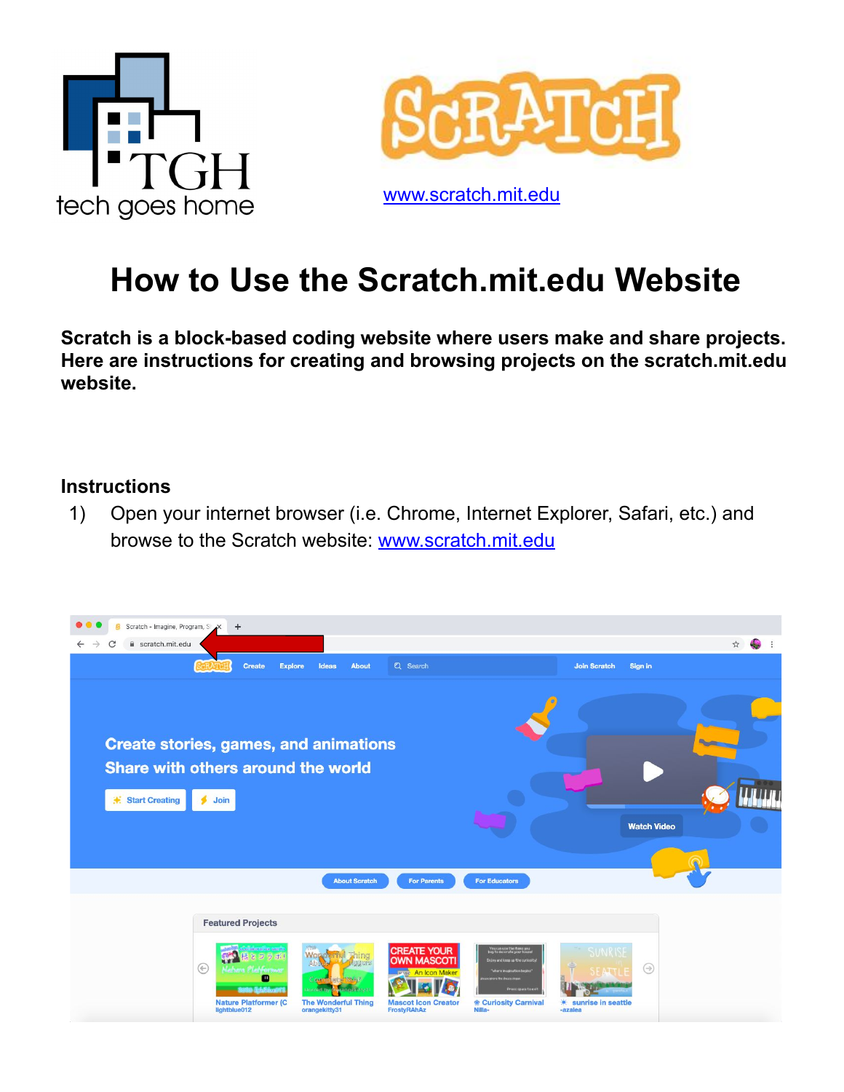



www.[scratch.mit.edu](https://scratch.mit.edu/)

## **How to Use the Scratch.mit.edu Website**

**Scratch is a block-based coding website where users make and share projects. Here are instructions for creating and browsing projects on the scratch.mit.edu website.** 

## **Instructions**

1) Open your internet browser (i.e. Chrome, Internet Explorer, Safari, etc.) and browse to the Scratch website: www.[scratch.mit.edu](https://scratch.mit.edu/)

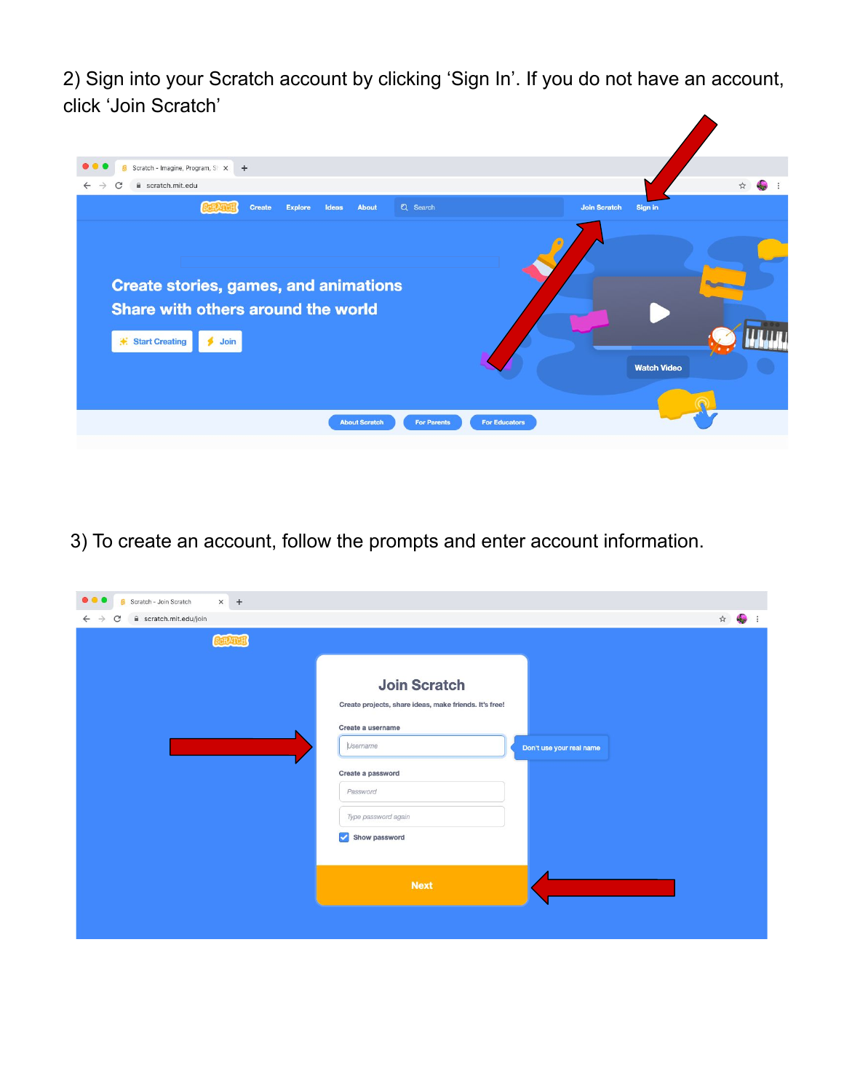2) Sign into your Scratch account by clicking 'Sign In'. If you do not have an account, click 'Join Scratch'



3) To create an account, follow the prompts and enter account information.

| $\bullet\bullet\bullet$<br>Scratch - Join Scratch<br>$x +$ |                                                        |                         |
|------------------------------------------------------------|--------------------------------------------------------|-------------------------|
| scratch.mit.edu/join<br>$\leftarrow$ $\rightarrow$<br>C    |                                                        | $\vec{x}$<br>49<br>- 11 |
| <b>SCRATCH</b>                                             |                                                        |                         |
|                                                            |                                                        |                         |
|                                                            | <b>Join Scratch</b>                                    |                         |
|                                                            | Create projects, share ideas, make friends. It's free! |                         |
|                                                            | Create a username                                      |                         |
|                                                            | Username<br>Don't use your real name                   |                         |
|                                                            | Create a password                                      |                         |
|                                                            | Password                                               |                         |
|                                                            | Type password again                                    |                         |
|                                                            | Show password<br>$\mathcal{L}$                         |                         |
|                                                            |                                                        |                         |
|                                                            | <b>Next</b>                                            |                         |
|                                                            |                                                        |                         |
|                                                            |                                                        |                         |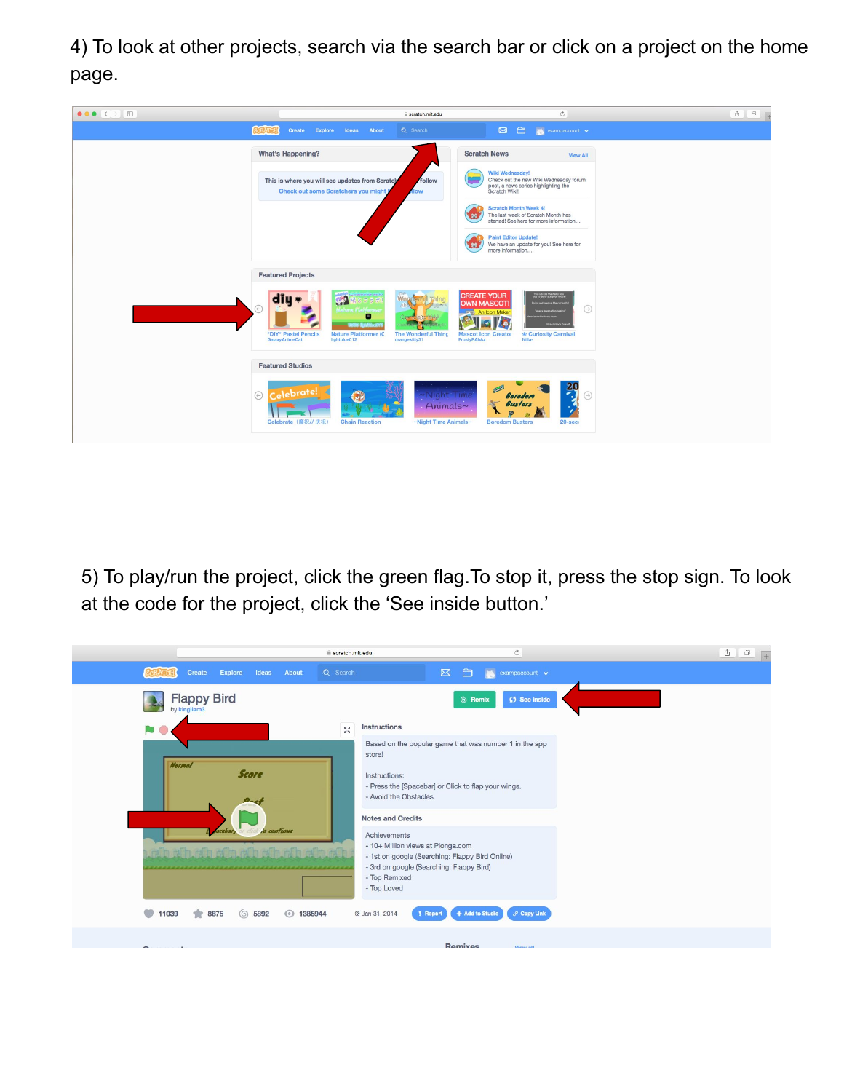4) To look at other projects, search via the search bar or click on a project on the home page.

| $\bullet \bullet \bullet \langle\;\; \rangle \quad \Box$ |                                                                                                                                                                     | Scratch.mit.edu                                                                                                            |                                                                                                                    | $\circ$                                                                                                                                                                                                       | $\mathbb{O}$ |
|----------------------------------------------------------|---------------------------------------------------------------------------------------------------------------------------------------------------------------------|----------------------------------------------------------------------------------------------------------------------------|--------------------------------------------------------------------------------------------------------------------|---------------------------------------------------------------------------------------------------------------------------------------------------------------------------------------------------------------|--------------|
|                                                          | Explore Ideas About<br>Create                                                                                                                                       | Q Search                                                                                                                   | $\boxtimes$<br>$\bigcirc$                                                                                          | $\lambda$ exampaccount $\sim$                                                                                                                                                                                 |              |
|                                                          | What's Happening?                                                                                                                                                   |                                                                                                                            | <b>Scratch News</b>                                                                                                | <b>View All</b>                                                                                                                                                                                               |              |
|                                                          | This is where you will see updates from Scratch<br>Check out some Scratchers you might                                                                              | follow<br><b>How</b>                                                                                                       | Wiki Wednesday!<br>Check out the new Wiki Wednesday forum<br>post, a news series highlighting the<br>Scratch Wiki! |                                                                                                                                                                                                               |              |
|                                                          |                                                                                                                                                                     | 触                                                                                                                          | <b>Scratch Month Week 4!</b><br>The last week of Scratch Month has<br>started! See here for more information       |                                                                                                                                                                                                               |              |
|                                                          |                                                                                                                                                                     | 鹩                                                                                                                          | <b>Paint Editor Update!</b><br>We have an update for you! See here for<br>more information                         |                                                                                                                                                                                                               |              |
|                                                          | <b>Featured Projects</b>                                                                                                                                            |                                                                                                                            |                                                                                                                    |                                                                                                                                                                                                               |              |
|                                                          | diu «<br><b>PA</b><br>$(\div)$<br>Habara Platfor<br>o<br><b>STATISTICS</b><br>*DIY* Pastel Pencils<br><b>Nature Platformer (C</b><br>GalaxyAnimeCat<br>lightblue012 | Wop<br>Committed of Right<br><b>Contract</b><br><b>Satur</b><br><b>The Wonderful Thing</b><br>FrostyRAhAz<br>orangekitty31 | <b>CREATE YOUR</b><br><b>OWN MASCOTI</b><br><b>An Icon Maker</b><br><b>Mascot Icon Creator</b><br>Nilla-           | You can use the items you<br>too to decorate your house!<br><b>Enjoy and keep up the curiosit</b><br>$\odot$<br><b>Tuhers inappartien begin</b><br><b>Dress space to sell</b><br><b> ® Curiosity Carnival</b> |              |
|                                                          | <b>Featured Studios</b>                                                                                                                                             |                                                                                                                            |                                                                                                                    |                                                                                                                                                                                                               |              |
|                                                          | Celebrate!<br>$\odot$<br>$\odot$<br>Celebrate (慶祝// 庆祝)<br><b>Chain Reaction</b>                                                                                    | -Night Time<br>Animals~<br>~Night Time Animals~                                                                            | 四<br><b>Boredom</b><br><b>Busters</b><br>e<br><b>Boredom Busters</b>                                               | $\frac{20}{4}$<br>$\odot$<br>v<br>$20 - sec$                                                                                                                                                                  |              |

5) To play/run the project, click the green flag.To stop it, press the stop sign. To look at the code for the project, click the 'See inside button.'

|                                                         | scratch.mit.edu | $\mathbb{C}$                                                                                                                                                                     | $\begin{array}{c c c c c} \hline \mathbb{A} & \mathbb{B} & \mathbb{B} \end{array}$ |
|---------------------------------------------------------|-----------------|----------------------------------------------------------------------------------------------------------------------------------------------------------------------------------|------------------------------------------------------------------------------------|
| Explore<br>Ideas<br>About<br>Create                     | Q Search        | $\boxtimes$<br>$\Box$<br><b>IS</b><br>exampaccount $\sim$                                                                                                                        |                                                                                    |
| <b>Flappy Bird</b><br>by kingliam3                      |                 | 6 Remix<br>(5 See inside                                                                                                                                                         |                                                                                    |
|                                                         | $\frac{1}{2}$   | <b>Instructions</b>                                                                                                                                                              |                                                                                    |
|                                                         |                 | Based on the popular game that was number 1 in the app<br>store!                                                                                                                 |                                                                                    |
| <b>Normal</b><br><b>Score</b><br>Dag                    |                 | Instructions:<br>- Press the [Spacebar] or Click to flap your wings.<br>- Avoid the Obstacles                                                                                    |                                                                                    |
|                                                         |                 | <b>Notes and Credits</b>                                                                                                                                                         |                                                                                    |
| le continue<br>acabar,<br>4,<br>afh afh afh afh afh afh |                 | Achievements<br>- 10+ Million views at Plonga.com<br>- 1st on google (Searching: Flappy Bird Online)<br>- 3rd on google (Searching: Flappy Bird)<br>- Top Remixed<br>- Top Loved |                                                                                    |
| ◯ 5892<br>◯ 1385944<br>11039<br>17<br>8875              |                 | + Add to Studio<br>$\delta^0$ Copy Link<br>@ Jan 31, 2014<br>! Report                                                                                                            |                                                                                    |
|                                                         |                 | Remiyee<br><b>Messinii</b>                                                                                                                                                       |                                                                                    |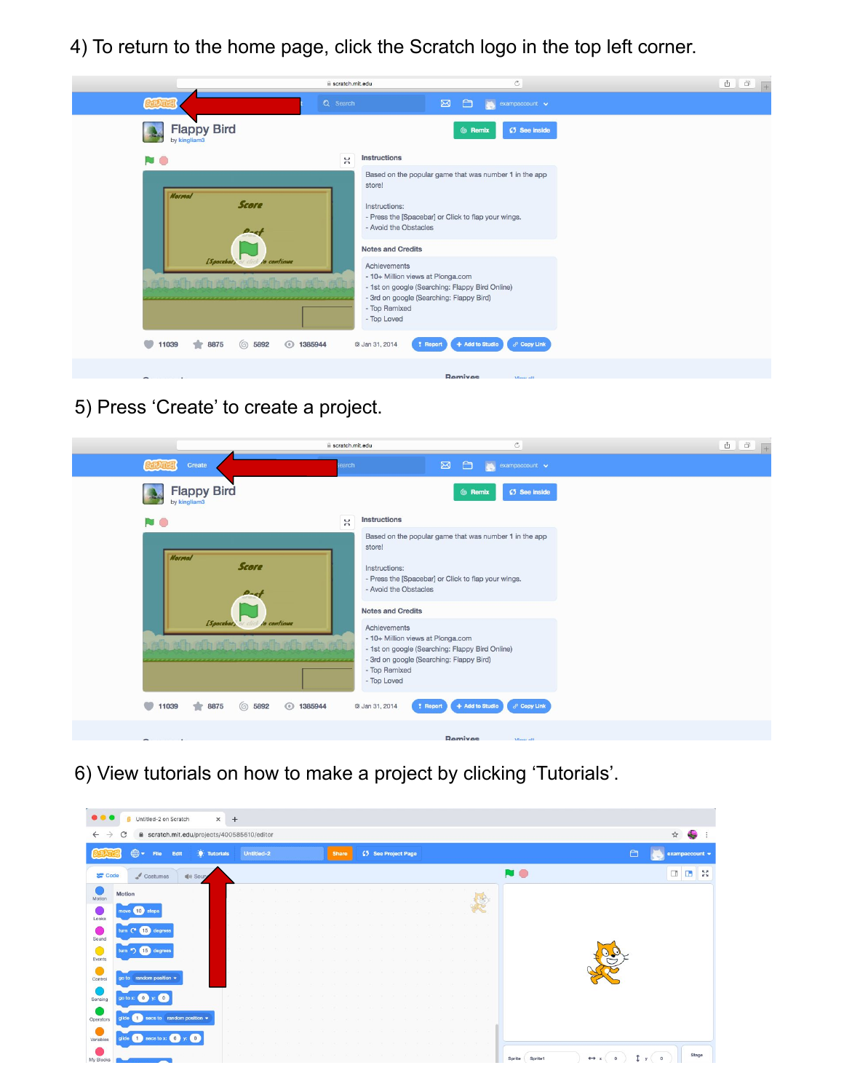4) To return to the home page, click the Scratch logo in the top left corner.

|                                                                      | scratch.mit.edu | $\circ$                                                                                                                                                                          | <b>A</b><br>$\Box$ |
|----------------------------------------------------------------------|-----------------|----------------------------------------------------------------------------------------------------------------------------------------------------------------------------------|--------------------|
|                                                                      | Q Search        | $\Box$<br>$\boxtimes$<br>$\sim$ exampaccount $\sim$                                                                                                                              |                    |
| <b>Flappy Bird</b><br>by kingliam3                                   |                 | <b>(5</b> See inside<br>6 Remix                                                                                                                                                  |                    |
| NO.                                                                  | $\mathcal{U}$   | Instructions                                                                                                                                                                     |                    |
| <b>Normal</b><br><b>Score</b>                                        |                 | Based on the popular game that was number 1 in the app<br>store!                                                                                                                 |                    |
| $D - c$                                                              |                 | Instructions:<br>- Press the [Spacebar] or Click to flap your wings.<br>- Avoid the Obstacles                                                                                    |                    |
|                                                                      |                 | <b>Notes and Credits</b>                                                                                                                                                         |                    |
| [Spacebar <sub>3</sub><br>lo continue<br>that a shaft af af af af af |                 | Achievements<br>- 10+ Million views at Plonga.com<br>- 1st on google (Searching: Flappy Bird Online)<br>- 3rd on google (Searching: Flappy Bird)<br>- Top Remixed<br>- Top Loved |                    |
| 8875<br>◎ 5892<br>◯ 1385944<br>11039                                 |                 | $\delta^0$ Copy Link<br>+ Add to Studio<br>@ Jan 31, 2014<br>? Report                                                                                                            |                    |
| -                                                                    |                 | Remiyee<br><b>Mourall</b>                                                                                                                                                        |                    |

5) Press 'Create' to create a project.

| scratch.mit.edu                                        | $\circlearrowright$<br>$+$                                                                                                                                                                                   |
|--------------------------------------------------------|--------------------------------------------------------------------------------------------------------------------------------------------------------------------------------------------------------------|
| Create<br>earch                                        | $\Box$<br>$\boxtimes$<br>$\bullet$ exampaccount $\bullet$                                                                                                                                                    |
| <b>Flappy Bird</b><br>by kingliam3                     | (5 See inside<br>© Remix                                                                                                                                                                                     |
| $\mathcal{U}$<br>NO.                                   | <b>Instructions</b>                                                                                                                                                                                          |
| <b>Normal</b><br><b>Score</b><br>$\mathbf{p}_{\alpha}$ | Based on the popular game that was number 1 in the app<br>store!<br>Instructions:<br>- Press the [Spacebar] or Click to flap your wings.<br>- Avoid the Obstacles                                            |
| [Spacebar] or click<br>lo continue                     | <b>Notes and Credits</b><br>Achievements<br>- 10+ Million views at Plonga.com<br>- 1st on google (Searching: Flappy Bird Online)<br>- 3rd on google (Searching: Flappy Bird)<br>- Top Remixed<br>- Top Loved |
| ◎ 5892<br>$\rightarrow$<br>◯ 1385944<br>11039<br>8875  | 8 <sup>0</sup> Copy Link<br>+ Add to Studio<br>@ Jan 31, 2014<br>? Report                                                                                                                                    |
|                                                        | Remiyes<br><b>Maurall</b>                                                                                                                                                                                    |

6) View tutorials on how to make a project by clicking 'Tutorials'.

|                 | <b>S</b> Untitled-2 on Scratch                                                                                 | $\times$ +           |            |  |  |              |  |                     |  |  |  |                   |                     |                            |
|-----------------|----------------------------------------------------------------------------------------------------------------|----------------------|------------|--|--|--------------|--|---------------------|--|--|--|-------------------|---------------------|----------------------------|
|                 | ■ scratch.mit.edu/projects/400585610/editor<br>G                                                               |                      |            |  |  |              |  |                     |  |  |  |                   |                     | ☆                          |
|                 | $\bigoplus$ -<br>File<br>Edit                                                                                  | <b>W</b> : Tutorials | Untitled-2 |  |  | <b>Share</b> |  | 65 See Project Page |  |  |  |                   | 白                   | $exampaccount \rightarrow$ |
| <b>SET</b> Code | $\sqrt{\phantom{a}}$ Costumes<br>$\left \psi\right\rangle$ Soung                                               |                      |            |  |  |              |  |                     |  |  |  | <b>NO</b>         |                     |                            |
| Motion          | Motion                                                                                                         |                      |            |  |  |              |  |                     |  |  |  |                   |                     |                            |
| Looks           | 10 <sup>1</sup><br>steps<br>mave                                                                               |                      |            |  |  |              |  |                     |  |  |  |                   |                     |                            |
| Sound           | 15 degrees<br>turn                                                                                             |                      |            |  |  |              |  |                     |  |  |  |                   |                     |                            |
| C               | 15 degree                                                                                                      |                      |            |  |  |              |  |                     |  |  |  |                   |                     |                            |
| Events          |                                                                                                                |                      |            |  |  |              |  |                     |  |  |  |                   |                     |                            |
| Control         | go to random position +                                                                                        |                      |            |  |  |              |  |                     |  |  |  |                   |                     |                            |
| Sensing         | $\circ$<br>go to x: 0                                                                                          |                      |            |  |  |              |  |                     |  |  |  |                   |                     |                            |
| Operators       | secs to random position =<br>olide                                                                             |                      |            |  |  |              |  |                     |  |  |  |                   |                     |                            |
| Variables       | glide $\begin{pmatrix} 1 \\ 1 \end{pmatrix}$ secs to x: $\begin{pmatrix} 0 \\ 1 \end{pmatrix}$<br>$\leftarrow$ |                      |            |  |  |              |  |                     |  |  |  |                   |                     |                            |
| My Blocks       |                                                                                                                |                      |            |  |  |              |  |                     |  |  |  | Sprite<br>Sprite1 | $\leftrightarrow x$ | Stage                      |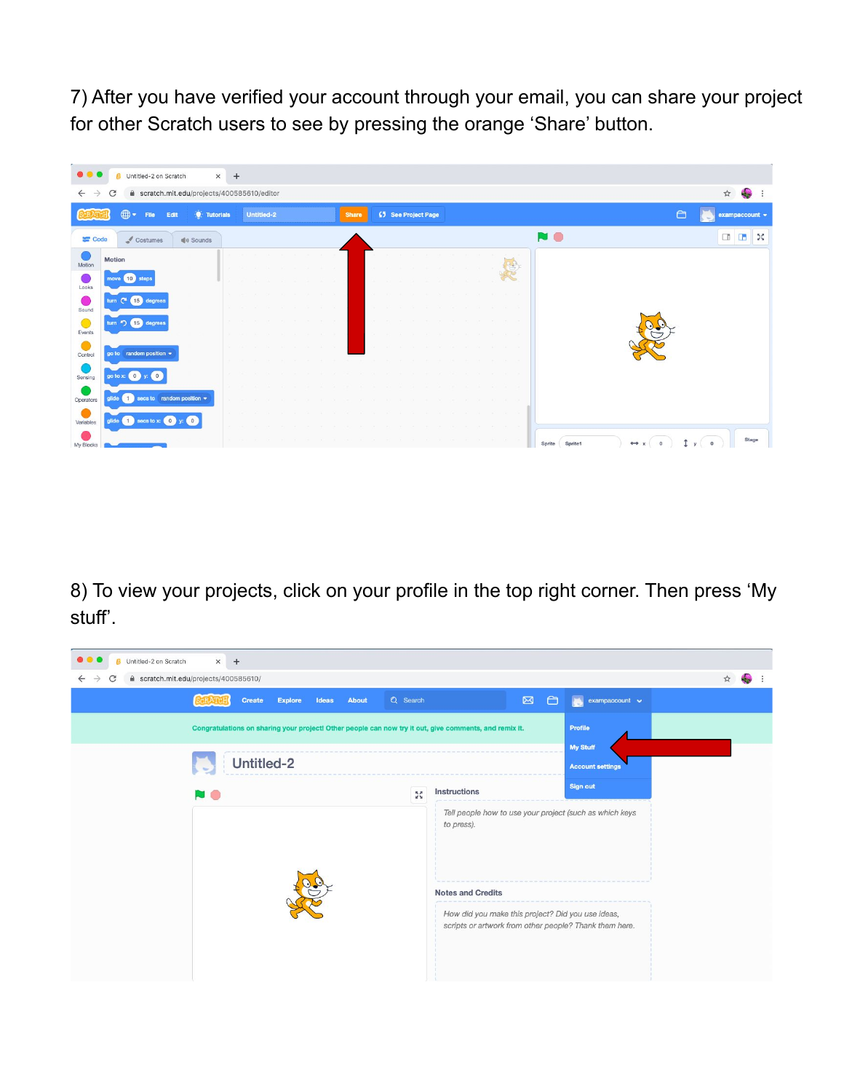7) After you have verified your account through your email, you can share your project for other Scratch users to see by pressing the orange 'Share' button.



8) To view your projects, click on your profile in the top right corner. Then press 'My stuff'.